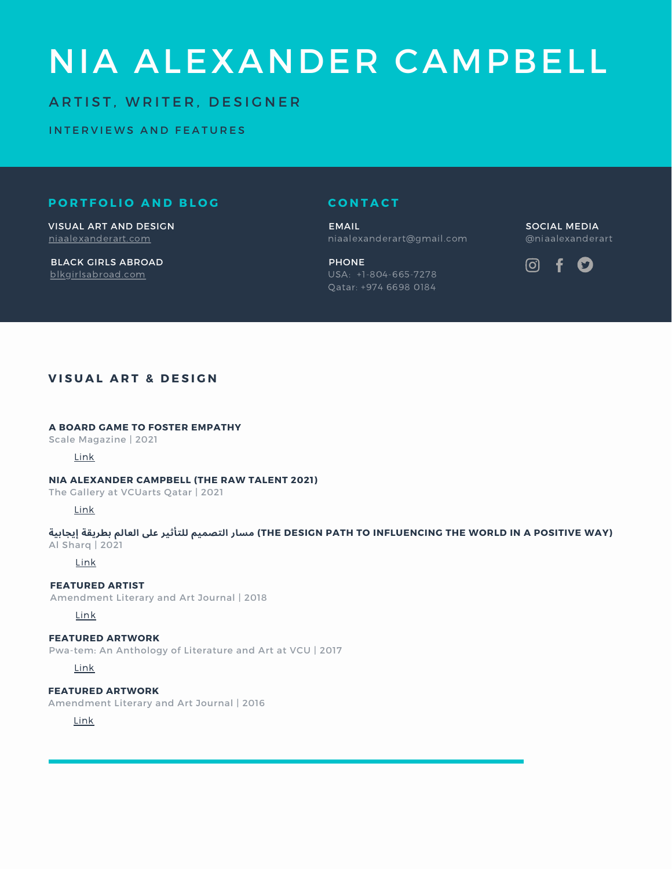# NIA ALEXANDER CAMPBELL

## ARTIST, WRITER, DESIGNER

INTERVIEWS AND FEATURES

## **P O R T F O L I O A N D B L O G**

[niaalexanderart.com](https://www.niaalexanderart.com/) VISUAL ART AND DESIGN

[blkgirlsabroad.com](https://www.blkgirlsabroad.com/) BLACK GIRLS ABROAD

### **C O N T A C T**

niaalexanderart@gmail.com EMAIL

USA: +1-804-665-7278 Qatar: +974 6698 0184 PHONE

@niaalexanderart SOCIAL MEDIA



## **V I S U A L A R T & D E S I G N**

#### **A BOARD GAME TO FOSTER EMPATHY**

Scale Magazine | 2021

#### [Link](https://www.scalemag.online/a-board-game-to-foster-empathy/amp/?fbclid=IwAR0bwLR15mYXR0KxD7tO8sIsq3fhATlU45ZOJQknjuDY8CV8gBVAqcZ0u10)

#### **NIA ALEXANDER CAMPBELL (THE RAW TALENT 2021)**

The Gallery at VCUarts Qatar | 2021

[Link](https://gallery.qatar.vcu.edu/nia-alexander-campbell-interview-2021/?fbclid=IwAR1nxgA84DU_esy5A8WZ5nxBG5cHDePSCbE0VWe-LwBvaysAPvge3RHtF5Y)

(THE DESIGN PATH TO INFLUENCING THE WORLD IN A POSITIVE WAY) مسار التصميم للتأثير على العالم بطريقة إيجابية Al Sharq | 2021

#### [Link](https://al-sharq.com/article/18/05/2021/%D9%85%D8%B4%D8%A7%D8%B1%D9%8A%D8%B9-%D8%A7%D9%84%D8%AF%D9%88%D9%84%D8%A9-%D8%A7%D9%84%D8%AA%D9%86%D9%85%D9%88%D9%8A%D8%A9-%D8%A8%D8%AD%D8%A7%D8%AC%D8%A9-%D9%84%D8%A3%D9%81%D9%83%D8%A7%D8%B1-%D8%A5%D8%A8%D8%AF%D8%A7%D8%B9%D9%8A%D8%A9)

#### **FEATURED ARTIST**

Amendment Literary and Art Journal | 2018

[Link](https://amendmentvcu.com/2018/10/featured-artist-nia-alexander/)

#### **FEATURED ARTWORK**

Pwa-tem: An Anthology of Literature and Art at VCU | 2017

[Link](http://pwatem.com/publications-for-2016-2017-academic-year/)

**FEATURED ARTWORK** Amendment Literary and Art Journal | 2016

[Link](https://amendmentvcu.com/art-submissions/2016-2/)